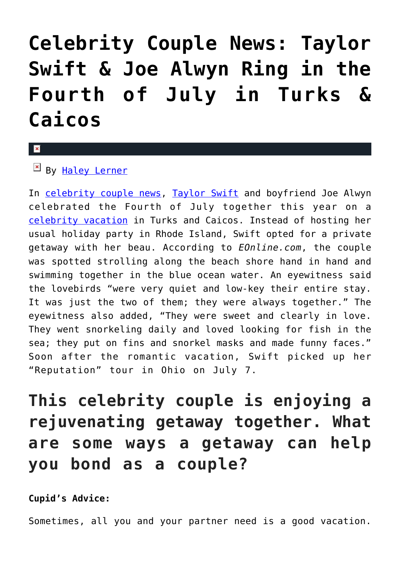## **[Celebrity Couple News: Taylor](https://cupidspulse.com/125617/celebrity-couple-news-taylor-swift-joe-alwyn-fourth-of-july-turks-caicos/) [Swift & Joe Alwyn Ring in the](https://cupidspulse.com/125617/celebrity-couple-news-taylor-swift-joe-alwyn-fourth-of-july-turks-caicos/) [Fourth of July in Turks &](https://cupidspulse.com/125617/celebrity-couple-news-taylor-swift-joe-alwyn-fourth-of-july-turks-caicos/) [Caicos](https://cupidspulse.com/125617/celebrity-couple-news-taylor-swift-joe-alwyn-fourth-of-july-turks-caicos/)**

## x

By [Haley Lerner](http://cupidspulse.com/126165/haley-lerner/)

In [celebrity couple news,](http://cupidspulse.com/celebrity-news/celebrity-dating/) [Taylor Swift](http://cupidspulse.com/86081/taylor-swift/) and boyfriend Joe Alwyn celebrated the Fourth of July together this year on a [celebrity vacation](http://cupidspulse.com/celebrity-relationships/celebrity-vacations/) in Turks and Caicos. Instead of hosting her usual holiday party in Rhode Island, Swift opted for a private getaway with her beau. According to *EOnline.com*, the couple was spotted strolling along the beach shore hand in hand and swimming together in the blue ocean water. An eyewitness said the lovebirds "were very quiet and low-key their entire stay. It was just the two of them; they were always together." The eyewitness also added, "They were sweet and clearly in love. They went snorkeling daily and loved looking for fish in the sea; they put on fins and snorkel masks and made funny faces." Soon after the romantic vacation, Swift picked up her "Reputation" tour in Ohio on July 7.

**This celebrity couple is enjoying a rejuvenating getaway together. What are some ways a getaway can help you bond as a couple?**

**Cupid's Advice:**

Sometimes, all you and your partner need is a good vacation.